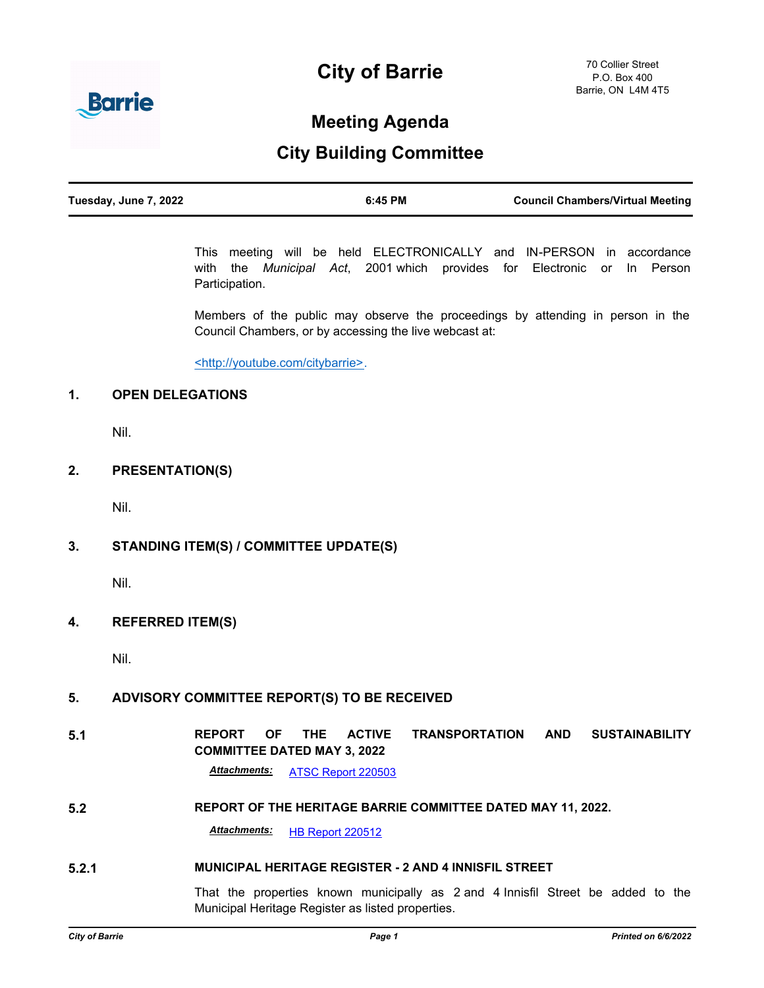# **City of Barrie**



## **Meeting Agenda**

### **City Building Committee**

| Tuesday, June 7, 2022 | 6:45 PM | <b>Council Chambers/Virtual Meeting</b> |
|-----------------------|---------|-----------------------------------------|
|                       |         |                                         |

This meeting will be held ELECTRONICALLY and IN-PERSON in accordance with the *Municipal Act*, 2001 which provides for Electronic or In Person Participation.

Members of the public may observe the proceedings by attending in person in the Council Chambers, or by accessing the live webcast at:

<http://youtube.com/citybarrie>.

#### **1. OPEN DELEGATIONS**

Nil.

#### **2. PRESENTATION(S)**

Nil.

#### **3. STANDING ITEM(S) / COMMITTEE UPDATE(S)**

Nil.

#### **4. REFERRED ITEM(S)**

Nil.

#### **5. ADVISORY COMMITTEE REPORT(S) TO BE RECEIVED**

**5.1 REPORT OF THE ACTIVE TRANSPORTATION AND SUSTAINABILITY COMMITTEE DATED MAY 3, 2022**

*Attachments:* [ATSC Report 220503](http://barrie.ca.legistar.com/gateway.aspx?M=F&ID=860dbc5f-5d77-4aa0-9dac-a774532c4ae1.pdf)

#### **5.2 REPORT OF THE HERITAGE BARRIE COMMITTEE DATED MAY 11, 2022.**

*Attachments:* [HB Report 220512](http://barrie.ca.legistar.com/gateway.aspx?M=F&ID=969044f2-ece8-4c13-aae9-00cebc2c353f.pdf)

#### **5.2.1 MUNICIPAL HERITAGE REGISTER - 2 AND 4 INNISFIL STREET**

That the properties known municipally as 2 and 4 Innisfil Street be added to the Municipal Heritage Register as listed properties.